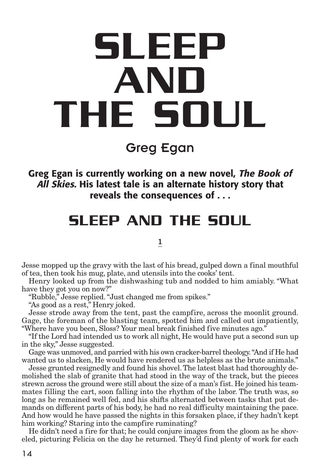# **SLEEP AND THE SOUL**

Greg Egan

**Greg Egan is currently working on a new novel, The Book of All Skies. His latest tale is an alternate history story that reveals the consequences of . . .**

# **SLEEP AND THE SOUL**

#### 1

Jesse mopped up the gravy with the last of his bread, gulped down a final mouthful of tea, then took his mug, plate, and utensils into the cooks' tent.

Henry looked up from the dishwashing tub and nodded to him amiably. "What have they got you on now?"

"Rubble," Jesse replied."Just changed me from spikes."

"As good as a rest," Henry joked.

Jesse strode away from the tent, past the campfire, across the moonlit ground. Gage, the foreman of the blasting team, spotted him and called out impatiently, "Where have you been, Sloss? Your meal break finished five minutes ago."

"If the Lord had intended us to work all night, He would have put a second sun up in the sky," Jesse suggested.

Gage was unmoved, and parried with his own cracker-barrel theology."And if He had wanted us to slacken, He would have rendered us as helpless as the brute animals."

Jesse grunted resignedly and found his shovel.The latest blast had thoroughly demolished the slab of granite that had stood in the way of the track, but the pieces strewn across the ground were still about the size of a man's fist. He joined his teammates filling the cart, soon falling into the rhythm of the labor. The truth was, so long as he remained well fed, and his shifts alternated between tasks that put demands on different parts of his body, he had no real difficulty maintaining the pace. And how would he have passed the nights in this forsaken place, if they hadn't kept him working? Staring into the campfire ruminating?

He didn't need a fire for that; he could conjure images from the gloom as he shoveled, picturing Felicia on the day he returned. They'd find plenty of work for each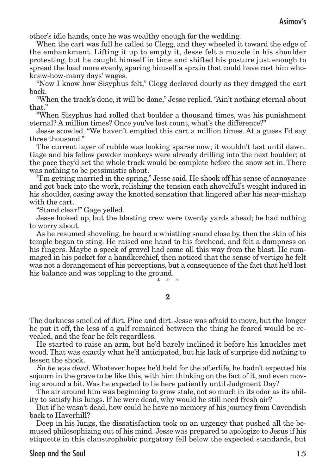other's idle hands, once he was wealthy enough for the wedding.

When the cart was full he called to Clegg, and they wheeled it toward the edge of the embankment. Lifting it up to empty it, Jesse felt a muscle in his shoulder protesting, but he caught himself in time and shifted his posture just enough to spread the load more evenly, sparing himself a sprain that could have cost him whoknew-how-many days' wages.

"Now I know how Sisyphus felt," Clegg declared dourly as they dragged the cart back.

"When the track's done, it will be done," Jesse replied."Ain't nothing eternal about that."

"When Sisyphus had rolled that boulder a thousand times, was his punishment eternal? A million times? Once you've lost count, what's the difference?"

Jesse scowled. "We haven't emptied this cart a million times. At a guess I'd say three thousand."

The current layer of rubble was looking sparse now; it wouldn't last until dawn. Gage and his fellow powder monkeys were already drilling into the next boulder; at the pace they'd set the whole track would be complete before the snow set in. There was nothing to be pessimistic about.

"I'm getting married in the spring," Jesse said. He shook off his sense of annoyance and got back into the work, relishing the tension each shovelful's weight induced in his shoulder, easing away the knotted sensation that lingered after his near-mishap with the cart.

"Stand clear!" Gage yelled.

Jesse looked up, but the blasting crew were twenty yards ahead; he had nothing to worry about.

As he resumed shoveling, he heard a whistling sound close by, then the skin of his temple began to sting. He raised one hand to his forehead, and felt a dampness on his fingers. Maybe a speck of gravel had come all this way from the blast. He rummaged in his pocket for a handkerchief, then noticed that the sense of vertigo he felt was not a derangement of his perceptions, but a consequence of the fact that he'd lost his balance and was toppling to the ground.

\* \* \*

#### 2

The darkness smelled of dirt. Pine and dirt. Jesse was afraid to move, but the longer he put it off, the less of a gulf remained between the thing he feared would be revealed, and the fear he felt regardless.

He started to raise an arm, but he'd barely inclined it before his knuckles met wood.That was exactly what he'd anticipated, but his lack of surprise did nothing to lessen the shock.

So he was dead. Whatever hopes he'd held for the afterlife, he hadn't expected his sojourn in the grave to be like this, with him thinking on the fact of it, and even moving around a bit. Was he expected to lie here patiently until Judgment Day?

The air around him was beginning to grow stale, not so much in its odor as its ability to satisfy his lungs. If he were dead, why would he still need fresh air?

But if he wasn't dead, how could he have no memory of his journey from Cavendish back to Haverhill?

Deep in his lungs, the dissatisfaction took on an urgency that pushed all the bemused philosophizing out of his mind. Jesse was prepared to apologize to Jesus if his etiquette in this claustrophobic purgatory fell below the expected standards, but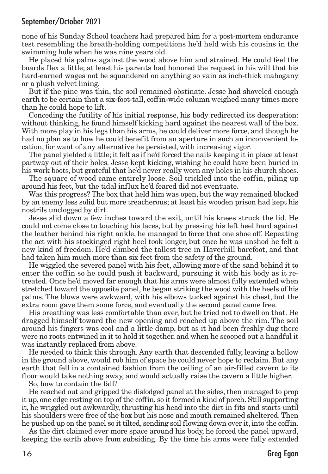none of his Sunday School teachers had prepared him for a post-mortem endurance test resembling the breath-holding competitions he'd held with his cousins in the swimming hole when he was nine years old.

He placed his palms against the wood above him and strained. He could feel the boards flex a little; at least his parents had honored the request in his will that his hard-earned wages not be squandered on anything so vain as inch-thick mahogany or a plush velvet lining.

But if the pine was thin, the soil remained obstinate. Jesse had shoveled enough earth to be certain that a six-foot-tall, coffin-wide column weighed many times more than he could hope to lift.

Conceding the futility of his initial response, his body redirected its desperation: without thinking, he found himself kicking hard against the nearest wall of the box. With more play in his legs than his arms, he could deliver more force, and though he had no plan as to how he could benefit from an aperture in such an inconvenient location, for want of any alternative he persisted, with increasing vigor.

The panel yielded a little; it felt as if he'd forced the nails keeping it in place at least partway out of their holes. Jesse kept kicking, wishing he could have been buried in his work boots, but grateful that he'd never really worn any holes in his church shoes.

The square of wood came entirely loose. Soil trickled into the coffin, piling up around his feet, but the tidal influx he'd feared did not eventuate.

Was this progress? The box that held him was open, but the way remained blocked by an enemy less solid but more treacherous; at least his wooden prison had kept his nostrils unclogged by dirt.

Jesse slid down a few inches toward the exit, until his knees struck the lid. He could not come close to touching his laces, but by pressing his left heel hard against the leather behind his right ankle, he managed to force that one shoe off. Repeating the act with his stockinged right heel took longer, but once he was unshod he felt a new kind of freedom. He'd climbed the tallest tree in Haverhill barefoot, and that had taken him much more than six feet from the safety of the ground.

He wiggled the severed panel with his feet, allowing more of the sand behind it to enter the coffin so he could push it backward, pursuing it with his body as it retreated. Once he'd moved far enough that his arms were almost fully extended when stretched toward the opposite panel, he began striking the wood with the heels of his palms. The blows were awkward, with his elbows tucked against his chest, but the extra room gave them some force, and eventually the second panel came free.

His breathing was less comfortable than ever, but he tried not to dwell on that. He dragged himself toward the new opening and reached up above the rim. The soil around his fingers was cool and a little damp, but as it had been freshly dug there were no roots entwined in it to hold it together, and when he scooped out a handful it was instantly replaced from above.

He needed to think this through. Any earth that descended fully, leaving a hollow in the ground above, would rob him of space he could never hope to reclaim. But any earth that fell in a contained fashion from the ceiling of an air-filled cavern to its floor would take nothing away, and would actually raise the cavern a little higher.

So, how to contain the fall?

He reached out and gripped the dislodged panel at the sides, then managed to prop it up, one edge resting on top of the coffin, so it formed a kind of porch. Still supporting it, he wriggled out awkwardly, thrusting his head into the dirt in fits and starts until his shoulders were free of the box but his nose and mouth remained sheltered.Then he pushed up on the panel so it tilted, sending soil flowing down over it, into the coffin.

As the dirt claimed ever more space around his body, he forced the panel upward, keeping the earth above from subsiding. By the time his arms were fully extended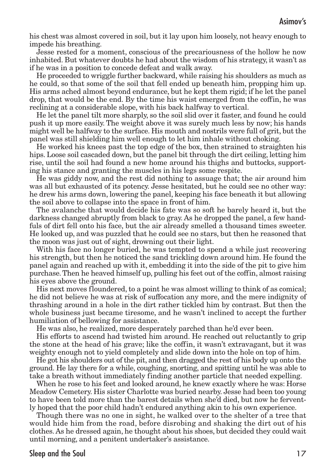his chest was almost covered in soil, but it lay upon him loosely, not heavy enough to impede his breathing.

Jesse rested for a moment, conscious of the precariousness of the hollow he now inhabited. But whatever doubts he had about the wisdom of his strategy, it wasn't as if he was in a position to concede defeat and walk away.

He proceeded to wriggle further backward, while raising his shoulders as much as he could, so that some of the soil that fell ended up beneath him, propping him up. His arms ached almost beyond endurance, but he kept them rigid; if he let the panel drop, that would be the end. By the time his waist emerged from the coffin, he was reclining at a considerable slope, with his back halfway to vertical.

He let the panel tilt more sharply, so the soil slid over it faster, and found he could push it up more easily. The weight above it was surely much less by now; his hands might well be halfway to the surface. His mouth and nostrils were full of grit, but the panel was still shielding him well enough to let him inhale without choking.

He worked his knees past the top edge of the box, then strained to straighten his hips. Loose soil cascaded down, but the panel bit through the dirt ceiling, letting him rise, until the soil had found a new home around his thighs and buttocks, supporting his stance and granting the muscles in his legs some respite.

He was giddy now, and the rest did nothing to assuage that; the air around him was all but exhausted of its potency. Jesse hesitated, but he could see no other way: he drew his arms down, lowering the panel, keeping his face beneath it but allowing the soil above to collapse into the space in front of him.

The avalanche that would decide his fate was so soft he barely heard it, but the darkness changed abruptly from black to gray. As he dropped the panel, a few handfuls of dirt fell onto his face, but the air already smelled a thousand times sweeter. He looked up, and was puzzled that he could see no stars, but then he reasoned that the moon was just out of sight, drowning out their light.

With his face no longer buried, he was tempted to spend a while just recovering his strength, but then he noticed the sand trickling down around him. He found the panel again and reached up with it, embedding it into the side of the pit to give him purchase.Then he heaved himself up, pulling his feet out of the coffin, almost raising his eyes above the ground.

His next moves floundered, to a point he was almost willing to think of as comical; he did not believe he was at risk of suffocation any more, and the mere indignity of thrashing around in a hole in the dirt rather tickled him by contrast. But then the whole business just became tiresome, and he wasn't inclined to accept the further humiliation of bellowing for assistance.

He was also, he realized, more desperately parched than he'd ever been.

His efforts to ascend had twisted him around. He reached out reluctantly to grip the stone at the head of his grave; like the coffin, it wasn't extravagant, but it was weighty enough not to yield completely and slide down into the hole on top of him.

He got his shoulders out of the pit, and then dragged the rest of his body up onto the ground. He lay there for a while, coughing, snorting, and spitting until he was able to take a breath without immediately finding another particle that needed expelling.

When he rose to his feet and looked around, he knew exactly where he was: Horse Meadow Cemetery. His sister Charlotte was buried nearby. Jesse had been too young to have been told more than the barest details when she'd died, but now he fervently hoped that the poor child hadn't endured anything akin to his own experience.

Though there was no one in sight, he walked over to the shelter of a tree that would hide him from the road, before disrobing and shaking the dirt out of his clothes. As he dressed again, he thought about his shoes, but decided they could wait until morning, and a penitent undertaker's assistance.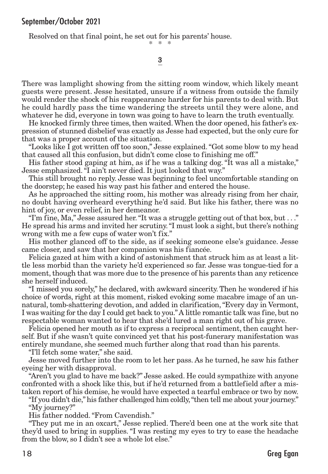Resolved on that final point, he set out for his parents' house.

\* \* \*

#### 3

There was lamplight showing from the sitting room window, which likely meant guests were present. Jesse hesitated, unsure if a witness from outside the family would render the shock of his reappearance harder for his parents to deal with. But he could hardly pass the time wandering the streets until they were alone, and whatever he did, everyone in town was going to have to learn the truth eventually.

He knocked firmly three times, then waited. When the door opened, his father's expression of stunned disbelief was exactly as Jesse had expected, but the only cure for that was a proper account of the situation.

"Looks like I got written off too soon," Jesse explained."Got some blow to my head that caused all this confusion, but didn't come close to finishing me off."

His father stood gaping at him, as if he was a talking dog. "It was all a mistake," Jesse emphasized."I ain't never died. It just looked that way."

This still brought no reply. Jesse was beginning to feel uncomfortable standing on the doorstep; he eased his way past his father and entered the house.

As he approached the sitting room, his mother was already rising from her chair, no doubt having overheard everything he'd said. But like his father, there was no hint of joy, or even relief, in her demeanor.

"I'm fine, Ma," Jesse assured her."It was a struggle getting out of that box, but . . ." He spread his arms and invited her scrutiny."I must look a sight, but there's nothing wrong with me a few cups of water won't fix."

His mother glanced off to the side, as if seeking someone else's guidance. Jesse came closer, and saw that her companion was his fiancée.

Felicia gazed at him with a kind of astonishment that struck him as at least a little less morbid than the variety he'd experienced so far. Jesse was tongue-tied for a moment, though that was more due to the presence of his parents than any reticence she herself induced.

"I missed you sorely," he declared, with awkward sincerity. Then he wondered if his choice of words, right at this moment, risked evoking some macabre image of an unnatural, tomb-shattering devotion, and added in clarification,"Every day in Vermont, I was waiting for the day I could get back to you."A little romantic talk was fine, but no respectable woman wanted to hear that she'd lured a man right out of his grave.

Felicia opened her mouth as if to express a reciprocal sentiment, then caught herself. But if she wasn't quite convinced yet that his post-funerary manifestation was entirely mundane, she seemed much further along that road than his parents.

"I'll fetch some water," she said.

Jesse moved further into the room to let her pass. As he turned, he saw his father eyeing her with disapproval.

"Aren't you glad to have me back?" Jesse asked. He could sympathize with anyone confronted with a shock like this, but if he'd returned from a battlefield after a mistaken report of his demise, he would have expected a tearful embrace or two by now.

"If you didn't die," his father challenged him coldly,"then tell me about your journey." "My journey?"

His father nodded."From Cavendish."

"They put me in an oxcart," Jesse replied. There'd been one at the work site that they'd used to bring in supplies. "I was resting my eyes to try to ease the headache from the blow, so I didn't see a whole lot else."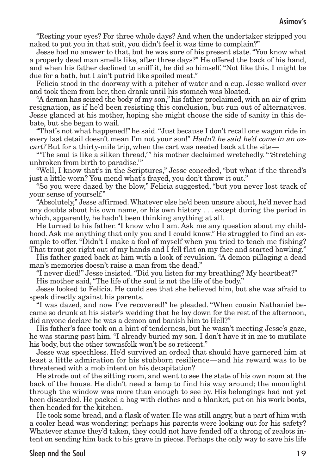"Resting your eyes? For three whole days? And when the undertaker stripped you naked to put you in that suit, you didn't feel it was time to complain?"

Jesse had no answer to that, but he was sure of his present state."You know what a properly dead man smells like, after three days?" He offered the back of his hand, and when his father declined to sniff it, he did so himself. "Not like this. I might be due for a bath, but I ain't putrid like spoiled meat."

Felicia stood in the doorway with a pitcher of water and a cup. Jesse walked over and took them from her, then drank until his stomach was bloated.

"A demon has seized the body of my son," his father proclaimed, with an air of grim resignation, as if he'd been resisting this conclusion, but run out of alternatives. Jesse glanced at his mother, hoping she might choose the side of sanity in this debate, but she began to wail.

"That's not what happened!" he said."Just because I don't recall one wagon ride in every last detail doesn't mean I'm not your son!" Hadn't he said he'd come in an oxcart? But for a thirty-mile trip, when the cart was needed back at the site—

"'The soul is like a silken thread,'" his mother declaimed wretchedly."'Stretching unbroken from birth to paradise.'"

"Well, I know that's in the Scriptures," Jesse conceded, "but what if the thread's just a little worn? You mend what's frayed, you don't throw it out."

"So you were dazed by the blow," Felicia suggested, "but you never lost track of your sense of yourself."

"Absolutely," Jesse affirmed.Whatever else he'd been unsure about, he'd never had any doubts about his own name, or his own history . . . except during the period in which, apparently, he hadn't been thinking anything at all.

He turned to his father. "I know who I am. Ask me any question about my childhood. Ask me anything that only you and I could know." He struggled to find an example to offer. "Didn't I make a fool of myself when you tried to teach me fishing? That trout got right out of my hands and I fell flat on my face and started bawling."

His father gazed back at him with a look of revulsion. "A demon pillaging a dead man's memories doesn't raise a man from the dead."

"I never died!" Jesse insisted."Did you listen for my breathing? My heartbeat?" His mother said,"The life of the soul is not the life of the body."

Jesse looked to Felicia. He could see that she believed him, but she was afraid to speak directly against his parents.

"I was dazed, and now I've recovered!" he pleaded. "When cousin Nathaniel became so drunk at his sister's wedding that he lay down for the rest of the afternoon, did anyone declare he was a demon and banish him to Hell?"

His father's face took on a hint of tenderness, but he wasn't meeting Jesse's gaze, he was staring past him. "I already buried my son. I don't have it in me to mutilate his body, but the other townsfolk won't be so reticent."

Jesse was speechless. He'd survived an ordeal that should have garnered him at least a little admiration for his stubborn resilience—and his reward was to be threatened with a mob intent on his decapitation?

He strode out of the sitting room, and went to see the state of his own room at the back of the house. He didn't need a lamp to find his way around; the moonlight through the window was more than enough to see by. His belongings had not yet been discarded. He packed a bag with clothes and a blanket, put on his work boots, then headed for the kitchen.

He took some bread, and a flask of water. He was still angry, but a part of him with a cooler head was wondering: perhaps his parents were looking out for his safety? Whatever stance they'd taken, they could not have fended off a throng of zealots intent on sending him back to his grave in pieces. Perhaps the only way to save his life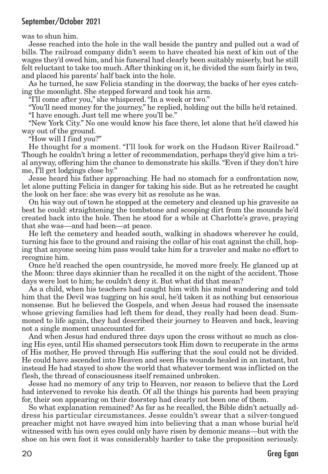was to shun him.

Jesse reached into the hole in the wall beside the pantry and pulled out a wad of bills. The railroad company didn't seem to have cheated his next of kin out of the wages they'd owed him, and his funeral had clearly been suitably miserly, but he still felt reluctant to take too much. After thinking on it, he divided the sum fairly in two, and placed his parents' half back into the hole.

As he turned, he saw Felicia standing in the doorway, the backs of her eyes catching the moonlight. She stepped forward and took his arm.

"I'll come after you," she whispered."In a week or two."

"You'll need money for the journey," he replied, holding out the bills he'd retained. "I have enough. Just tell me where you'll be."

"New York City." No one would know his face there, let alone that he'd clawed his way out of the ground.

"How will I find you?"

He thought for a moment. "I'll look for work on the Hudson River Railroad." Though he couldn't bring a letter of recommendation, perhaps they'd give him a trial anyway, offering him the chance to demonstrate his skills."Even if they don't hire me, I'll get lodgings close by."

Jesse heard his father approaching. He had no stomach for a confrontation now, let alone putting Felicia in danger for taking his side. But as he retreated he caught the look on her face: she was every bit as resolute as he was.

On his way out of town he stopped at the cemetery and cleaned up his gravesite as best he could: straightening the tombstone and scooping dirt from the mounds he'd created back into the hole. Then he stood for a while at Charlotte's grave, praying that she was—and had been—at peace.

He left the cemetery and headed south, walking in shadows wherever he could, turning his face to the ground and raising the collar of his coat against the chill, hoping that anyone seeing him pass would take him for a traveler and make no effort to recognize him.

Once he'd reached the open countryside, he moved more freely. He glanced up at the Moon: three days skinnier than he recalled it on the night of the accident.Those days were lost to him; he couldn't deny it. But what did that mean?

As a child, when his teachers had caught him with his mind wandering and told him that the Devil was tugging on his soul, he'd taken it as nothing but censorious nonsense. But he believed the Gospels, and when Jesus had roused the insensate whose grieving families had left them for dead, they really had been dead. Summoned to life again, they had described their journey to Heaven and back, leaving not a single moment unaccounted for.

And when Jesus had endured three days upon the cross without so much as closing His eyes, until His shamed persecutors took Him down to recuperate in the arms of His mother, He proved through His suffering that the soul could not be divided. He could have ascended into Heaven and seen His wounds healed in an instant, but instead He had stayed to show the world that whatever torment was inflicted on the flesh, the thread of consciousness itself remained unbroken.

Jesse had no memory of any trip to Heaven, nor reason to believe that the Lord had intervened to revoke his death. Of all the things his parents had been praying for, their son appearing on their doorstep had clearly not been one of them.

So what explanation remained? As far as he recalled, the Bible didn't actually address his particular circumstances. Jesse couldn't swear that a silver-tongued preacher might not have swayed him into believing that a man whose burial he'd witnessed with his own eyes could only have risen by demonic means—but with the shoe on his own foot it was considerably harder to take the proposition seriously.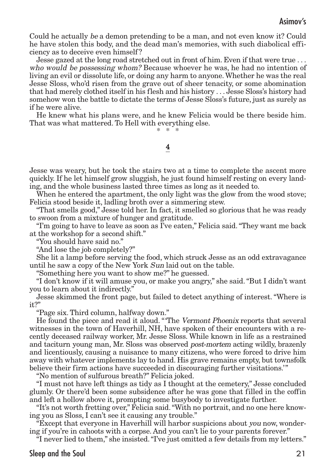Could he actually be a demon pretending to be a man, and not even know it? Could he have stolen this body, and the dead man's memories, with such diabolical efficiency as to deceive even himself ?

Jesse gazed at the long road stretched out in front of him. Even if that were true . . . who would be possessing whom? Because whoever he was, he had no intention of living an evil or dissolute life, or doing any harm to anyone.Whether he was the real Jesse Sloss, who'd risen from the grave out of sheer tenacity, or some abomination that had merely clothed itself in his flesh and his history . . . Jesse Sloss's history had somehow won the battle to dictate the terms of Jesse Sloss's future, just as surely as if he were alive.

He knew what his plans were, and he knew Felicia would be there beside him. That was what mattered. To Hell with everything else.

\* \* \*

#### 4

Jesse was weary, but he took the stairs two at a time to complete the ascent more quickly. If he let himself grow sluggish, he just found himself resting on every landing, and the whole business lasted three times as long as it needed to.

When he entered the apartment, the only light was the glow from the wood stove; Felicia stood beside it, ladling broth over a simmering stew.

"That smells good," Jesse told her. In fact, it smelled so glorious that he was ready to swoon from a mixture of hunger and gratitude.

"I'm going to have to leave as soon as I've eaten," Felicia said."They want me back at the workshop for a second shift."

"You should have said no."

"And lose the job completely?"

She lit a lamp before serving the food, which struck Jesse as an odd extravagance until he saw a copy of the New York Sun laid out on the table.

"Something here you want to show me?" he guessed.

"I don't know if it will amuse you, or make you angry," she said."But I didn't want you to learn about it indirectly."

Jesse skimmed the front page, but failed to detect anything of interest. "Where is it?"

"Page six. Third column, halfway down."

He found the piece and read it aloud. "'The Vermont Phoenix reports that several witnesses in the town of Haverhill, NH, have spoken of their encounters with a recently deceased railway worker, Mr. Jesse Sloss. While known in life as a restrained and taciturn young man, Mr. Sloss was observed post-mortem acting wildly, brazenly and licentiously, causing a nuisance to many citizens, who were forced to drive him away with whatever implements lay to hand. His grave remains empty, but townsfolk believe their firm actions have succeeded in discouraging further visitations.'"

"No mention of sulfurous breath?" Felicia joked.

"I must not have left things as tidy as I thought at the cemetery," Jesse concluded glumly. Or there'd been some subsidence after he was gone that filled in the coffin and left a hollow above it, prompting some busybody to investigate further.

"It's not worth fretting over," Felicia said."With no portrait, and no one here knowing you as Sloss, I can't see it causing any trouble."

"Except that everyone in Haverhill will harbor suspicions about you now, wondering if you're in cahoots with a corpse. And you can't lie to your parents forever."

"I never lied to them," she insisted."I've just omitted a few details from my letters."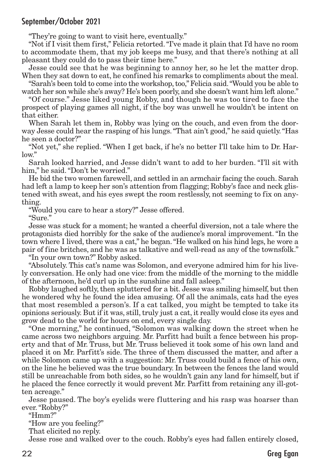"They're going to want to visit here, eventually."

"Not if I visit them first," Felicia retorted."I've made it plain that I'd have no room to accommodate them, that my job keeps me busy, and that there's nothing at all pleasant they could do to pass their time here."

Jesse could see that he was beginning to annoy her, so he let the matter drop. When they sat down to eat, he confined his remarks to compliments about the meal.

"Sarah's been told to come into the workshop,too,"Felicia said."Would you be able to watch her son while she's away? He's been poorly, and she doesn't want him left alone."

"Of course." Jesse liked young Robby, and though he was too tired to face the prospect of playing games all night, if the boy was unwell he wouldn't be intent on that either.

When Sarah let them in, Robby was lying on the couch, and even from the doorway Jesse could hear the rasping of his lungs."That ain't good," he said quietly."Has he seen a doctor?"

"Not yet," she replied. "When I get back, if he's no better I'll take him to Dr. Harlow."

Sarah looked harried, and Jesse didn't want to add to her burden. "I'll sit with him," he said. "Don't be worried."

He bid the two women farewell, and settled in an armchair facing the couch. Sarah had left a lamp to keep her son's attention from flagging; Robby's face and neck glistened with sweat, and his eyes swept the room restlessly, not seeming to fix on anything.

"Would you care to hear a story?" Jesse offered.

" $S$ ure"

Jesse was stuck for a moment; he wanted a cheerful diversion, not a tale where the protagonists died horribly for the sake of the audience's moral improvement. "In the town where I lived, there was a cat," he began."He walked on his hind legs, he wore a pair of fine britches, and he was as talkative and well-read as any of the townsfolk."

"In your own town?" Robby asked.

"Absolutely. This cat's name was Solomon, and everyone admired him for his lively conversation. He only had one vice: from the middle of the morning to the middle of the afternoon, he'd curl up in the sunshine and fall asleep."

Robby laughed softly, then spluttered for a bit. Jesse was smiling himself, but then he wondered why he found the idea amusing. Of all the animals, cats had the eyes that most resembled a person's. If a cat talked, you might be tempted to take its opinions seriously. But if it was, still, truly just a cat, it really would close its eyes and grow dead to the world for hours on end, every single day.

"One morning," he continued, "Solomon was walking down the street when he came across two neighbors arguing. Mr. Parfitt had built a fence between his property and that of Mr. Truss, but Mr. Truss believed it took some of his own land and placed it on Mr. Parfitt's side. The three of them discussed the matter, and after a while Solomon came up with a suggestion: Mr. Truss could build a fence of his own, on the line he believed was the true boundary. In between the fences the land would still be unreachable from both sides, so he wouldn't gain any land for himself, but if he placed the fence correctly it would prevent Mr. Parfitt from retaining any ill-gotten acreage."

Jesse paused. The boy's eyelids were fluttering and his rasp was hoarser than ever."Robby?"

"Hmm?"

"How are you feeling?"

That elicited no reply.

Jesse rose and walked over to the couch. Robby's eyes had fallen entirely closed,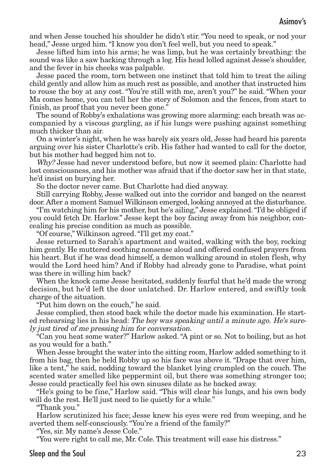and when Jesse touched his shoulder he didn't stir. "You need to speak, or nod your head," Jesse urged him."I know you don't feel well, but you need to speak."

Jesse lifted him into his arms; he was limp, but he was certainly breathing: the sound was like a saw hacking through a log. His head lolled against Jesse's shoulder, and the fever in his cheeks was palpable.

Jesse paced the room, torn between one instinct that told him to treat the ailing child gently and allow him as much rest as possible, and another that instructed him to rouse the boy at any cost. "You're still with me, aren't you?" he said. "When your Ma comes home, you can tell her the story of Solomon and the fences, from start to finish, as proof that you never been gone."

The sound of Robby's exhalations was growing more alarming: each breath was accompanied by a viscous gurgling, as if his lungs were pushing against something much thicker than air.

On a winter's night, when he was barely six years old, Jesse had heard his parents arguing over his sister Charlotte's crib. His father had wanted to call for the doctor, but his mother had begged him not to.

Why? Jesse had never understood before, but now it seemed plain: Charlotte had lost consciousness, and his mother was afraid that if the doctor saw her in that state, he'd insist on burying her.

So the doctor never came. But Charlotte had died anyway.

Still carrying Robby, Jesse walked out into the corridor and banged on the nearest door.After a moment Samuel Wilkinson emerged, looking annoyed at the disturbance.

"I'm watching him for his mother, but he's ailing," Jesse explained."I'd be obliged if you could fetch Dr. Harlow." Jesse kept the boy facing away from his neighbor, concealing his precise condition as much as possible.

"Of course," Wilkinson agreed."I'll get my coat."

Jesse returned to Sarah's apartment and waited, walking with the boy, rocking him gently. He muttered soothing nonsense aloud and offered confused prayers from his heart. But if he was dead himself, a demon walking around in stolen flesh, why would the Lord heed him? And if Robby had already gone to Paradise, what point was there in willing him back?

When the knock came Jesse hesitated, suddenly fearful that he'd made the wrong decision, but he'd left the door unlatched. Dr. Harlow entered, and swiftly took charge of the situation.

"Put him down on the couch," he said.

Jesse complied, then stood back while the doctor made his examination. He started rehearsing lies in his head: The boy was speaking until a minute ago. He's surely just tired of me pressing him for conversation.

"Can you heat some water?" Harlow asked."A pint or so. Not to boiling, but as hot as you would for a bath."

When Jesse brought the water into the sitting room, Harlow added something to it from his bag, then he held Robby up so his face was above it. "Drape that over him, like a tent," he said, nodding toward the blanket lying crumpled on the couch. The scented water smelled like peppermint oil, but there was something stronger too; Jesse could practically feel his own sinuses dilate as he backed away.

"He's going to be fine," Harlow said. "This will clear his lungs, and his own body will do the rest. He'll just need to lie quietly for a while."

"Thank you."

Harlow scrutinized his face; Jesse knew his eyes were red from weeping, and he averted them self-consciously."You're a friend of the family?"

"Yes, sir. My name's Jesse Cole."

"You were right to call me, Mr. Cole. This treatment will ease his distress."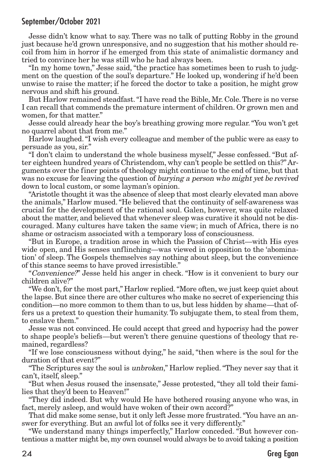Jesse didn't know what to say. There was no talk of putting Robby in the ground just because he'd grown unresponsive, and no suggestion that his mother should recoil from him in horror if he emerged from this state of animalistic dormancy and tried to convince her he was still who he had always been.

"In my home town," Jesse said, "the practice has sometimes been to rush to judgment on the question of the soul's departure." He looked up, wondering if he'd been unwise to raise the matter; if he forced the doctor to take a position, he might grow nervous and shift his ground.

But Harlow remained steadfast."I have read the Bible, Mr. Cole.There is no verse I can recall that commends the premature interment of children. Or grown men and women, for that matter."

Jesse could already hear the boy's breathing growing more regular."You won't get no quarrel about that from me."

Harlow laughed."I wish every colleague and member of the public were as easy to persuade as you, sir."

"I don't claim to understand the whole business myself," Jesse confessed. "But after eighteen hundred years of Christendom, why can't people be settled on this?" Arguments over the finer points of theology might continue to the end of time, but that was no excuse for leaving the question of burying a person who might yet be revived down to local custom, or some layman's opinion.

"Aristotle thought it was the absence of sleep that most clearly elevated man above the animals," Harlow mused."He believed that the continuity of self-awareness was crucial for the development of the rational soul. Galen, however, was quite relaxed about the matter, and believed that whenever sleep was curative it should not be discouraged. Many cultures have taken the same view; in much of Africa, there is no shame or ostracism associated with a temporary loss of consciousness.

"But in Europe, a tradition arose in which the Passion of Christ—with His eyes wide open, and His senses unflinching—was viewed in opposition to the 'abomination' of sleep. The Gospels themselves say nothing about sleep, but the convenience of this stance seems to have proved irresistible."

"Convenience?" Jesse held his anger in check. "How is it convenient to bury our children alive?"

"We don't, for the most part," Harlow replied."More often, we just keep quiet about the lapse. But since there are other cultures who make no secret of experiencing this condition—no more common to them than to us, but less hidden by shame—that offers us a pretext to question their humanity. To subjugate them, to steal from them, to enslave them."

Jesse was not convinced. He could accept that greed and hypocrisy had the power to shape people's beliefs—but weren't there genuine questions of theology that remained, regardless?

"If we lose consciousness without dying," he said, "then where is the soul for the duration of that event?"

"The Scriptures say the soul is unbroken," Harlow replied."They never say that it can't, itself, sleep."

"But when Jesus roused the insensate," Jesse protested, "they all told their families that they'd been to Heaven!"

"They did indeed. But why would He have bothered rousing anyone who was, in fact, merely asleep, and would have woken of their own accord?"

That did make some sense, but it only left Jesse more frustrated."You have an answer for everything. But an awful lot of folks see it very differently."

"We understand many things imperfectly," Harlow conceded. "But however contentious a matter might be, my own counsel would always be to avoid taking a position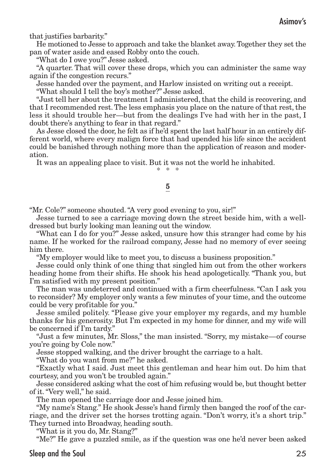that justifies barbarity."

He motioned to Jesse to approach and take the blanket away.Together they set the pan of water aside and eased Robby onto the couch.

"What do I owe you?" Jesse asked.

"A quarter. That will cover these drops, which you can administer the same way again if the congestion recurs."

Jesse handed over the payment, and Harlow insisted on writing out a receipt.

"What should I tell the boy's mother?" Jesse asked.

"Just tell her about the treatment I administered, that the child is recovering, and that I recommended rest. The less emphasis you place on the nature of that rest, the less it should trouble her—but from the dealings I've had with her in the past, I doubt there's anything to fear in that regard."

As Jesse closed the door, he felt as if he'd spent the last half hour in an entirely different world, where every malign force that had upended his life since the accident could be banished through nothing more than the application of reason and moderation.

It was an appealing place to visit. But it was not the world he inhabited.

\* \* \*

#### 5

"Mr. Cole?" someone shouted."A very good evening to you, sir!"

Jesse turned to see a carriage moving down the street beside him, with a welldressed but burly looking man leaning out the window.

"What can I do for you?" Jesse asked, unsure how this stranger had come by his name. If he worked for the railroad company, Jesse had no memory of ever seeing him there.

"My employer would like to meet you, to discuss a business proposition."

Jesse could only think of one thing that singled him out from the other workers heading home from their shifts. He shook his head apologetically. "Thank you, but I'm satisfied with my present position."

The man was undeterred and continued with a firm cheerfulness."Can I ask you to reconsider? My employer only wants a few minutes of your time, and the outcome could be very profitable for you."

Jesse smiled politely. "Please give your employer my regards, and my humble thanks for his generosity. But I'm expected in my home for dinner, and my wife will be concerned if I'm tardy."

"Just a few minutes, Mr. Sloss," the man insisted. "Sorry, my mistake—of course you're going by Cole now."

Jesse stopped walking, and the driver brought the carriage to a halt.

"What do you want from me?" he asked.

"Exactly what I said. Just meet this gentleman and hear him out. Do him that courtesy, and you won't be troubled again."

Jesse considered asking what the cost of him refusing would be, but thought better of it."Very well," he said.

The man opened the carriage door and Jesse joined him.

"My name's Stang." He shook Jesse's hand firmly then banged the roof of the carriage, and the driver set the horses trotting again. "Don't worry, it's a short trip." They turned into Broadway, heading south.

"What is it you do, Mr. Stang?"

"Me?" He gave a puzzled smile, as if the question was one he'd never been asked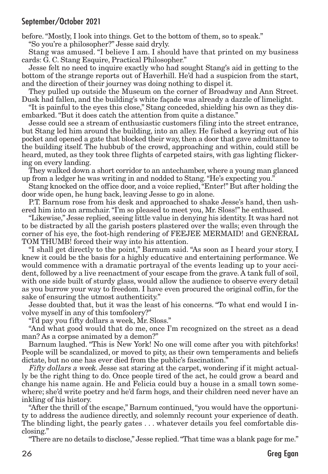before."Mostly, I look into things. Get to the bottom of them, so to speak."

"So you're a philosopher?" Jesse said dryly.

Stang was amused. "I believe I am. I should have that printed on my business cards: G. C. Stang Esquire, Practical Philosopher."

Jesse felt no need to inquire exactly who had sought Stang's aid in getting to the bottom of the strange reports out of Haverhill. He'd had a suspicion from the start, and the direction of their journey was doing nothing to dispel it.

They pulled up outside the Museum on the corner of Broadway and Ann Street. Dusk had fallen, and the building's white façade was already a dazzle of limelight.

"It is painful to the eyes this close," Stang conceded, shielding his own as they disembarked."But it does catch the attention from quite a distance."

Jesse could see a stream of enthusiastic customers filing into the street entrance, but Stang led him around the building, into an alley. He fished a keyring out of his pocket and opened a gate that blocked their way,then a door that gave admittance to the building itself. The hubbub of the crowd, approaching and within, could still be heard, muted, as they took three flights of carpeted stairs, with gas lighting flickering on every landing.

They walked down a short corridor to an antechamber, where a young man glanced up from a ledger he was writing in and nodded to Stang."He's expecting you."

Stang knocked on the office door, and a voice replied,"Enter!" But after holding the door wide open, he hung back, leaving Jesse to go in alone.

P.T. Barnum rose from his desk and approached to shake Jesse's hand, then ushered him into an armchair."I'm so pleased to meet you, Mr. Sloss!" he enthused.

"Likewise," Jesse replied, seeing little value in denying his identity. It was hard not to be distracted by all the garish posters plastered over the walls; even through the corner of his eye, the foot-high rendering of FEEJEE MERMAID! and GENERAL TOM THUMB! forced their way into his attention.

"I shall get directly to the point," Barnum said. "As soon as I heard your story, I knew it could be the basis for a highly educative and entertaining performance. We would commence with a dramatic portrayal of the events leading up to your accident, followed by a live reenactment of your escape from the grave. A tank full of soil, with one side built of sturdy glass, would allow the audience to observe every detail as you burrow your way to freedom. I have even procured the original coffin, for the sake of ensuring the utmost authenticity."

Jesse doubted that, but it was the least of his concerns. "To what end would I involve myself in any of this tomfoolery?"

"I'd pay you fifty dollars a week, Mr. Sloss."

"And what good would that do me, once I'm recognized on the street as a dead man? As a corpse animated by a demon?"

Barnum laughed. "This is New York! No one will come after you with pitchforks! People will be scandalized, or moved to pity, as their own temperaments and beliefs dictate, but no one has ever died from the public's fascination."

Fifty dollars <sup>a</sup> week. Jesse sat staring at the carpet, wondering if it might actually be the right thing to do. Once people tired of the act, he could grow a beard and change his name again. He and Felicia could buy a house in a small town somewhere; she'd write poetry and he'd farm hogs, and their children need never have an inkling of his history.

"After the thrill of the escape," Barnum continued,"you would have the opportunity to address the audience directly, and solemnly recount your experience of death. The blinding light, the pearly gates . . . whatever details you feel comfortable disclosing."

"There are no details to disclose," Jesse replied."That time was a blank page for me."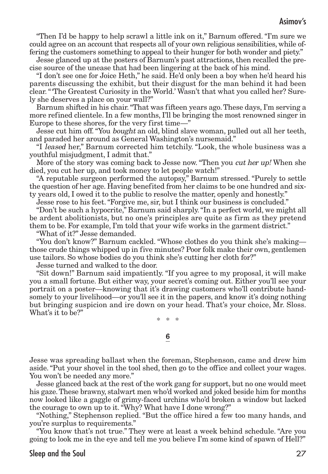"Then I'd be happy to help scrawl a little ink on it," Barnum offered. "I'm sure we could agree on an account that respects all of your own religious sensibilities, while offering the customers something to appeal to their hunger for both wonder and piety."

Jesse glanced up at the posters of Barnum's past attractions,then recalled the precise source of the unease that had been lingering at the back of his mind.

"I don't see one for Joice Heth," he said. He'd only been a boy when he'd heard his parents discussing the exhibit, but their disgust for the man behind it had been clear."'The Greatest Curiosity in the World.' Wasn't that what you called her? Surely she deserves a place on your wall?"

Barnum shifted in his chair."That was fifteen years ago.These days, I'm serving a more refined clientele. In a few months, I'll be bringing the most renowned singer in Europe to these shores, for the very first time—"

Jesse cut him off."You bought an old, blind slave woman, pulled out all her teeth, and paraded her around as General Washington's nursemaid."

"I leased her," Barnum corrected him tetchily. "Look, the whole business was a youthful misjudgment, I admit that."

More of the story was coming back to Jesse now. "Then you *cut her up!* When she died, you cut her up, and took money to let people watch!"

"A reputable surgeon performed the autopsy," Barnum stressed. "Purely to settle the question of her age. Having benefited from her claims to be one hundred and sixty years old, I owed it to the public to resolve the matter, openly and honestly."

Jesse rose to his feet."Forgive me, sir, but I think our business is concluded."

"Don't be such a hypocrite," Barnum said sharply."In a perfect world, we might all be ardent abolitionists, but no one's principles are quite as firm as they pretend them to be. For example, I'm told that your wife works in the garment district."

"What of it?" Jesse demanded.

"You don't know?" Barnum cackled. "Whose clothes do you think she's making those crude things whipped up in five minutes? Poor folk make their own, gentlemen use tailors. So whose bodies do you think she's cutting her cloth for?"

Jesse turned and walked to the door.

"Sit down!" Barnum said impatiently. "If you agree to my proposal, it will make you a small fortune. But either way, your secret's coming out. Either you'll see your portrait on a poster—knowing that it's drawing customers who'll contribute handsomely to your livelihood—or you'll see it in the papers, and know it's doing nothing but bringing suspicion and ire down on your head. That's your choice, Mr. Sloss. What's it to be?"

\* \* \*

#### 6

Jesse was spreading ballast when the foreman, Stephenson, came and drew him aside."Put your shovel in the tool shed, then go to the office and collect your wages. You won't be needed any more."

Jesse glanced back at the rest of the work gang for support, but no one would meet his gaze.These brawny, stalwart men who'd worked and joked beside him for months now looked like a gaggle of grimy-faced urchins who'd broken a window but lacked the courage to own up to it."Why? What have I done wrong?"

"Nothing," Stephenson replied. "But the office hired a few too many hands, and you're surplus to requirements."

"You know that's not true." They were at least a week behind schedule. "Are you going to look me in the eye and tell me you believe I'm some kind of spawn of Hell?"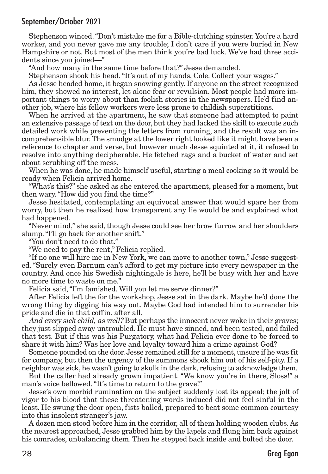Stephenson winced."Don't mistake me for a Bible-clutching spinster. You're a hard worker, and you never gave me any trouble; I don't care if you were buried in New Hampshire or not. But most of the men think you're bad luck. We've had three accidents since you joined—"

"And how many in the same time before that?" Jesse demanded.

Stephenson shook his head."It's out of my hands, Cole. Collect your wages."

As Jesse headed home, it began snowing gently. If anyone on the street recognized him, they showed no interest, let alone fear or revulsion. Most people had more important things to worry about than foolish stories in the newspapers. He'd find another job, where his fellow workers were less prone to childish superstitions.

When he arrived at the apartment, he saw that someone had attempted to paint an extensive passage of text on the door, but they had lacked the skill to execute such detailed work while preventing the letters from running, and the result was an incomprehensible blur.The smudge at the lower right looked like it might have been a reference to chapter and verse, but however much Jesse squinted at it, it refused to resolve into anything decipherable. He fetched rags and a bucket of water and set about scrubbing off the mess.

When he was done, he made himself useful, starting a meal cooking so it would be ready when Felicia arrived home.

"What's this?" she asked as she entered the apartment, pleased for a moment, but then wary."How did you find the time?"

Jesse hesitated, contemplating an equivocal answer that would spare her from worry, but then he realized how transparent any lie would be and explained what had happened.

"Never mind," she said, though Jesse could see her brow furrow and her shoulders slump. "I'll go back for another shift."

"You don't need to do that."

"We need to pay the rent," Felicia replied.

"If no one will hire me in New York, we can move to another town," Jesse suggested."Surely even Barnum can't afford to get my picture into every newspaper in the country. And once his Swedish nightingale is here, he'll be busy with her and have no more time to waste on me."

Felicia said,"I'm famished. Will you let me serve dinner?"

After Felicia left the for the workshop, Jesse sat in the dark. Maybe he'd done the wrong thing by digging his way out. Maybe God had intended him to surrender his pride and die in that coffin, after all.

And every sick child, as well? But perhaps the innocent never woke in their graves; they just slipped away untroubled. He must have sinned, and been tested, and failed that test. But if this was his Purgatory, what had Felicia ever done to be forced to share it with him? Was her love and loyalty toward him a crime against God?

Someone pounded on the door. Jesse remained still for a moment, unsure if he was fit for company, but then the urgency of the summons shook him out of his self-pity. If a neighbor was sick, he wasn't going to skulk in the dark, refusing to acknowledge them.

But the caller had already grown impatient. "We know you're in there, Sloss!" a man's voice bellowed."It's time to return to the grave!"

Jesse's own morbid rumination on the subject suddenly lost its appeal; the jolt of vigor to his blood that these threatening words induced did not feel sinful in the least. He swung the door open, fists balled, prepared to beat some common courtesy into this insolent stranger's jaw.

A dozen men stood before him in the corridor, all of them holding wooden clubs. As the nearest approached, Jesse grabbed him by the lapels and flung him back against his comrades, unbalancing them. Then he stepped back inside and bolted the door.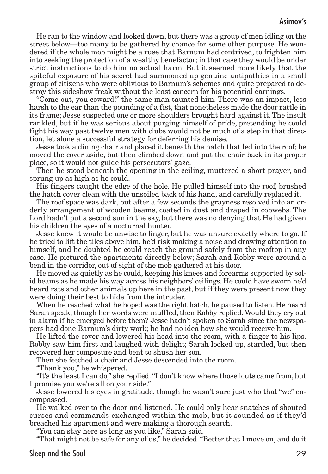He ran to the window and looked down, but there was a group of men idling on the street below—too many to be gathered by chance for some other purpose. He wondered if the whole mob might be a ruse that Barnum had contrived, to frighten him into seeking the protection of a wealthy benefactor; in that case they would be under strict instructions to do him no actual harm. But it seemed more likely that the spiteful exposure of his secret had summoned up genuine antipathies in a small group of citizens who were oblivious to Barnum's schemes and quite prepared to destroy this sideshow freak without the least concern for his potential earnings.

"Come out, you coward!" the same man taunted him. There was an impact, less harsh to the ear than the pounding of a fist, that nonetheless made the door rattle in its frame; Jesse suspected one or more shoulders brought hard against it.The insult rankled, but if he was serious about purging himself of pride, pretending he could fight his way past twelve men with clubs would not be much of a step in that direction, let alone a successful strategy for deferring his demise.

Jesse took a dining chair and placed it beneath the hatch that led into the roof; he moved the cover aside, but then climbed down and put the chair back in its proper place, so it would not guide his persecutors' gaze.

Then he stood beneath the opening in the ceiling, muttered a short prayer, and sprung up as high as he could.

His fingers caught the edge of the hole. He pulled himself into the roof, brushed the hatch cover clean with the unsoiled back of his hand, and carefully replaced it.

The roof space was dark, but after a few seconds the grayness resolved into an orderly arrangement of wooden beams, coated in dust and draped in cobwebs. The Lord hadn't put a second sun in the sky, but there was no denying that He had given his children the eyes of a nocturnal hunter.

Jesse knew it would be unwise to linger, but he was unsure exactly where to go. If he tried to lift the tiles above him, he'd risk making a noise and drawing attention to himself, and he doubted he could reach the ground safely from the rooftop in any case. He pictured the apartments directly below; Sarah and Robby were around a bend in the corridor, out of sight of the mob gathered at his door.

He moved as quietly as he could, keeping his knees and forearms supported by solid beams as he made his way across his neighbors' ceilings. He could have sworn he'd heard rats and other animals up here in the past, but if they were present now they were doing their best to hide from the intruder.

When he reached what he hoped was the right hatch, he paused to listen. He heard Sarah speak, though her words were muffled, then Robby replied.Would they cry out in alarm if he emerged before them? Jesse hadn't spoken to Sarah since the newspapers had done Barnum's dirty work; he had no idea how she would receive him.

He lifted the cover and lowered his head into the room, with a finger to his lips. Robby saw him first and laughed with delight; Sarah looked up, startled, but then recovered her composure and bent to shush her son.

Then she fetched a chair and Jesse descended into the room.

"Thank you," he whispered.

"It's the least I can do," she replied."I don't know where those louts came from, but I promise you we're all on your side."

Jesse lowered his eyes in gratitude, though he wasn't sure just who that "we" encompassed.

He walked over to the door and listened. He could only hear snatches of shouted curses and commands exchanged within the mob, but it sounded as if they'd breached his apartment and were making a thorough search.

"You can stay here as long as you like," Sarah said.

"That might not be safe for any of us," he decided."Better that I move on, and do it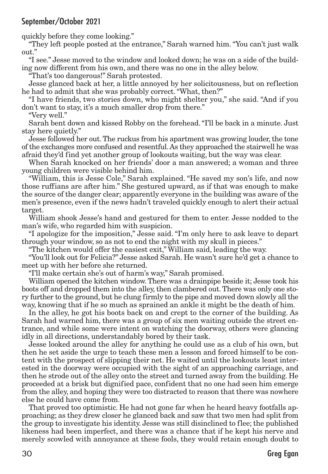quickly before they come looking."

"They left people posted at the entrance," Sarah warned him."You can't just walk out."

"I see." Jesse moved to the window and looked down; he was on a side of the building now different from his own, and there was no one in the alley below.

"That's too dangerous!" Sarah protested.

Jesse glanced back at her, a little annoyed by her solicitousness, but on reflection he had to admit that she was probably correct."What, then?"

"I have friends, two stories down, who might shelter you," she said. "And if you don't want to stay, it's a much smaller drop from there."

"Very well."

Sarah bent down and kissed Robby on the forehead."I'll be back in a minute. Just stay here quietly."

Jesse followed her out. The ruckus from his apartment was growing louder, the tone of the exchanges more confused and resentful.As they approached the stairwell he was afraid they'd find yet another group of lookouts waiting, but the way was clear.

When Sarah knocked on her friends' door a man answered; a woman and three young children were visible behind him.

"William, this is Jesse Cole," Sarah explained. "He saved my son's life, and now those ruffians are after him." She gestured upward, as if that was enough to make the source of the danger clear; apparently everyone in the building was aware of the men's presence, even if the news hadn't traveled quickly enough to alert their actual target.

William shook Jesse's hand and gestured for them to enter. Jesse nodded to the man's wife, who regarded him with suspicion.

"I apologize for the imposition," Jesse said. "I'm only here to ask leave to depart through your window, so as not to end the night with my skull in pieces."

"The kitchen would offer the easiest exit," William said, leading the way.

"You'll look out for Felicia?" Jesse asked Sarah. He wasn't sure he'd get a chance to meet up with her before she returned.

"I'll make certain she's out of harm's way," Sarah promised.

William opened the kitchen window.There was a drainpipe beside it; Jesse took his boots off and dropped them into the alley,then clambered out.There was only one story further to the ground, but he clung firmly to the pipe and moved down slowly all the way, knowing that if he so much as sprained an ankle it might be the death of him.

In the alley, he got his boots back on and crept to the corner of the building. As Sarah had warned him, there was a group of six men waiting outside the street entrance, and while some were intent on watching the doorway, others were glancing idly in all directions, understandably bored by their task.

Jesse looked around the alley for anything he could use as a club of his own, but then he set aside the urge to teach these men a lesson and forced himself to be content with the prospect of slipping their net. He waited until the lookouts least interested in the doorway were occupied with the sight of an approaching carriage, and then he strode out of the alley onto the street and turned away from the building. He proceeded at a brisk but dignified pace, confident that no one had seen him emerge from the alley, and hoping they were too distracted to reason that there was nowhere else he could have come from.

That proved too optimistic. He had not gone far when he heard heavy footfalls approaching; as they drew closer he glanced back and saw that two men had split from the group to investigate his identity. Jesse was still disinclined to flee; the published likeness had been imperfect, and there was a chance that if he kept his nerve and merely scowled with annoyance at these fools, they would retain enough doubt to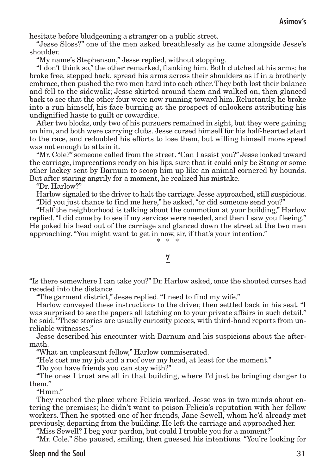hesitate before bludgeoning a stranger on a public street.

"Jesse Sloss?" one of the men asked breathlessly as he came alongside Jesse's shoulder.

"My name's Stephenson," Jesse replied, without stopping.

"I don't think so,"the other remarked, flanking him. Both clutched at his arms; he broke free, stepped back, spread his arms across their shoulders as if in a brotherly embrace, then pushed the two men hard into each other. They both lost their balance and fell to the sidewalk; Jesse skirted around them and walked on, then glanced back to see that the other four were now running toward him. Reluctantly, he broke into a run himself, his face burning at the prospect of onlookers attributing his undignified haste to guilt or cowardice.

After two blocks, only two of his pursuers remained in sight, but they were gaining on him, and both were carrying clubs. Jesse cursed himself for his half-hearted start to the race, and redoubled his efforts to lose them, but willing himself more speed was not enough to attain it.

"Mr. Cole?" someone called from the street."Can I assist you?" Jesse looked toward the carriage, imprecations ready on his lips, sure that it could only be Stang or some other lackey sent by Barnum to scoop him up like an animal cornered by hounds. But after staring angrily for a moment, he realized his mistake.

"Dr. Harlow?"

Harlow signaled to the driver to halt the carriage. Jesse approached, still suspicious. "Did you just chance to find me here," he asked,"or did someone send you?"

"Half the neighborhood is talking about the commotion at your building," Harlow replied."I did come by to see if my services were needed, and then I saw you fleeing." He poked his head out of the carriage and glanced down the street at the two men approaching."You might want to get in now, sir, if that's your intention." \* \* \*

#### 7

"Is there somewhere I can take you?" Dr. Harlow asked, once the shouted curses had receded into the distance.

"The garment district," Jesse replied."I need to find my wife."

Harlow conveyed these instructions to the driver, then settled back in his seat. "I was surprised to see the papers all latching on to your private affairs in such detail," he said."These stories are usually curiosity pieces, with third-hand reports from unreliable witnesses."

Jesse described his encounter with Barnum and his suspicions about the aftermath.

"What an unpleasant fellow," Harlow commiserated.

"He's cost me my job and a roof over my head, at least for the moment."

"Do you have friends you can stay with?"

"The ones I trust are all in that building, where I'd just be bringing danger to them."

"Hmm."

They reached the place where Felicia worked. Jesse was in two minds about entering the premises; he didn't want to poison Felicia's reputation with her fellow workers. Then he spotted one of her friends, Jane Sewell, whom he'd already met previously, departing from the building. He left the carriage and approached her.

"Miss Sewell? I beg your pardon, but could I trouble you for a moment?"

"Mr. Cole." She paused, smiling, then guessed his intentions. "You're looking for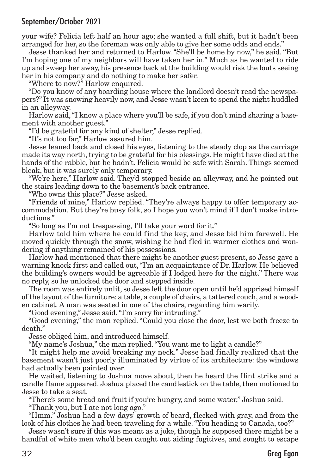your wife? Felicia left half an hour ago; she wanted a full shift, but it hadn't been arranged for her, so the foreman was only able to give her some odds and ends."

Jesse thanked her and returned to Harlow. "She'll be home by now," he said. "But I'm hoping one of my neighbors will have taken her in." Much as he wanted to ride up and sweep her away, his presence back at the building would risk the louts seeing her in his company and do nothing to make her safer.

"Where to now?" Harlow enquired.

"Do you know of any boarding house where the landlord doesn't read the newspapers?" It was snowing heavily now, and Jesse wasn't keen to spend the night huddled in an alleyway.

Harlow said,"I know a place where you'll be safe, if you don't mind sharing a basement with another guest."

"I'd be grateful for any kind of shelter," Jesse replied.

"It's not too far," Harlow assured him.

Jesse leaned back and closed his eyes, listening to the steady clop as the carriage made its way north, trying to be grateful for his blessings. He might have died at the hands of the rabble, but he hadn't. Felicia would be safe with Sarah. Things seemed bleak, but it was surely only temporary.

"We're here," Harlow said. They'd stopped beside an alleyway, and he pointed out the stairs leading down to the basement's back entrance.

"Who owns this place?" Jesse asked.

"Friends of mine," Harlow replied. "They're always happy to offer temporary accommodation. But they're busy folk, so I hope you won't mind if I don't make introductions."

"So long as I'm not trespassing, I'll take your word for it."

Harlow told him where he could find the key, and Jesse bid him farewell. He moved quickly through the snow, wishing he had fled in warmer clothes and wondering if anything remained of his possessions.

Harlow had mentioned that there might be another guest present, so Jesse gave a warning knock first and called out,"I'm an acquaintance of Dr. Harlow. He believed the building's owners would be agreeable if I lodged here for the night." There was no reply, so he unlocked the door and stepped inside.

The room was entirely unlit, so Jesse left the door open until he'd apprised himself of the layout of the furniture: a table, a couple of chairs, a tattered couch, and a wooden cabinet. A man was seated in one of the chairs, regarding him warily.

"Good evening," Jesse said."I'm sorry for intruding."

"Good evening," the man replied. "Could you close the door, lest we both freeze to death."

Jesse obliged him, and introduced himself.

"My name's Joshua," the man replied."You want me to light a candle?"

"It might help me avoid breaking my neck." Jesse had finally realized that the basement wasn't just poorly illuminated by virtue of its architecture: the windows had actually been painted over.

He waited, listening to Joshua move about, then he heard the flint strike and a candle flame appeared. Joshua placed the candlestick on the table, then motioned to Jesse to take a seat.

"There's some bread and fruit if you're hungry, and some water," Joshua said.

"Thank you, but I ate not long ago."

"Hmm." Joshua had a few days' growth of beard, flecked with gray, and from the look of his clothes he had been traveling for a while. "You heading to Canada, too?"

Jesse wasn't sure if this was meant as a joke, though he supposed there might be a handful of white men who'd been caught out aiding fugitives, and sought to escape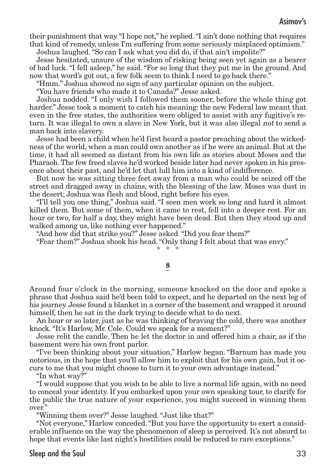their punishment that way."I hope not," he replied."I ain't done nothing that requires that kind of remedy, unless I'm suffering from some seriously misplaced optimism."

Joshua laughed."So can I ask what you did do, if that ain't impolite?"

Jesse hesitated, unsure of the wisdom of risking being seen yet again as a bearer of bad luck."I fell asleep," he said."For so long that they put me in the ground. And now that word's got out, a few folk seem to think I need to go back there."

"Hmm." Joshua showed no sign of any particular opinion on the subject.

"You have friends who made it to Canada?" Jesse asked.

Joshua nodded. "I only wish I followed them sooner, before the whole thing got harder." Jesse took a moment to catch his meaning: the new Federal law meant that even in the free states, the authorities were obliged to assist with any fugitive's return. It was illegal to own a slave in New York, but it was also illegal not to send a man back into slavery.

Jesse had been a child when he'd first heard a pastor preaching about the wickedness of the world, when a man could own another as if he were an animal. But at the time, it had all seemed as distant from his own life as stories about Moses and the Pharaoh.The few freed slaves he'd worked beside later had never spoken in his presence about their past, and he'd let that lull him into a kind of indifference.

But now he was sitting three feet away from a man who could be seized off the street and dragged away in chains, with the blessing of the law. Moses was dust in the desert; Joshua was flesh and blood, right before his eyes.

"I'll tell you one thing," Joshua said. "I seen men work so long and hard it almost killed them. But some of them, when it came to rest, fell into a deeper rest. For an hour or two, for half a day, they might have been dead. But then they stood up and walked among us, like nothing ever happened."

"And how did that strike you?" Jesse asked."Did you fear them?"

"Fear them?" Joshua shook his head."Only thing I felt about that was envy."

\* \* \*

#### 8

Around four o'clock in the morning, someone knocked on the door and spoke a phrase that Joshua said he'd been told to expect, and he departed on the next leg of his journey. Jesse found a blanket in a corner of the basement and wrapped it around himself, then he sat in the dark trying to decide what to do next.

An hour or so later, just as he was thinking of braving the cold, there was another knock."It's Harlow, Mr. Cole. Could we speak for a moment?"

Jesse relit the candle. Then he let the doctor in and offered him a chair, as if the basement were his own front parlor.

"I've been thinking about your situation," Harlow began. "Barnum has made you notorious, in the hope that you'll allow him to exploit that for his own gain, but it occurs to me that you might choose to turn it to your own advantage instead."

"In what way?"

"I would suppose that you wish to be able to live a normal life again, with no need to conceal your identity. If you embarked upon your own speaking tour, to clarify for the public the true nature of your experience, you might succeed in winning them over."

"Winning them over?" Jesse laughed."Just like that?"

"Not everyone," Harlow conceded."But you have the opportunity to exert a considerable influence on the way the phenomenon of sleep is perceived. It's not absurd to hope that events like last night's hostilities could be reduced to rare exceptions."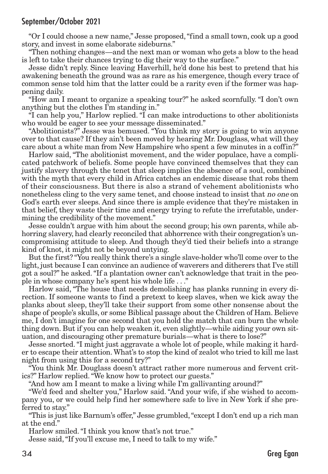"Or I could choose a new name," Jesse proposed,"find a small town, cook up a good story, and invest in some elaborate sideburns."

"Then nothing changes—and the next man or woman who gets a blow to the head is left to take their chances trying to dig their way to the surface."

Jesse didn't reply. Since leaving Haverhill, he'd done his best to pretend that his awakening beneath the ground was as rare as his emergence, though every trace of common sense told him that the latter could be a rarity even if the former was happening daily.

"How am I meant to organize a speaking tour?" he asked scornfully. "I don't own anything but the clothes I'm standing in."

"I can help you," Harlow replied. "I can make introductions to other abolitionists who would be eager to see your message disseminated."

"Abolitionists?" Jesse was bemused. "You think my story is going to win anyone over to that cause? If they ain't been moved by hearing Mr. Douglass, what will they care about a white man from New Hampshire who spent a few minutes in a coffin?"

Harlow said, "The abolitionist movement, and the wider populace, have a complicated patchwork of beliefs. Some people have convinced themselves that they can justify slavery through the tenet that sleep implies the absence of a soul, combined with the myth that every child in Africa catches an endemic disease that robs them of their consciousness. But there is also a strand of vehement abolitionists who nonetheless cling to the very same tenet, and choose instead to insist that no one on God's earth ever sleeps. And since there is ample evidence that they're mistaken in that belief, they waste their time and energy trying to refute the irrefutable, undermining the credibility of the movement."

Jesse couldn't argue with him about the second group; his own parents, while abhorring slavery, had clearly reconciled that abhorrence with their congregation's uncompromising attitude to sleep. And though they'd tied their beliefs into a strange kind of knot, it might not be beyond untying.

But the first? "You really think there's a single slave-holder who'll come over to the light, just because I can convince an audience of waverers and ditherers that I've still got a soul?" he asked."If a plantation owner can't acknowledge that trait in the people in whose company he's spent his whole life . . ."

Harlow said, "The house that needs demolishing has planks running in every direction. If someone wants to find a pretext to keep slaves, when we kick away the planks about sleep, they'll take their support from some other nonsense about the shape of people's skulls, or some Biblical passage about the Children of Ham. Believe me, I don't imagine for one second that you hold the match that can burn the whole thing down. But if you can help weaken it, even slightly—while aiding your own situation, and discouraging other premature burials—what is there to lose?"

Jesse snorted."I might just aggravate a whole lot of people, while making it harder to escape their attention.What's to stop the kind of zealot who tried to kill me last night from using this for a second try?"

"You think Mr. Douglass doesn't attract rather more numerous and fervent critics?" Harlow replied."We know how to protect our guests."

"And how am I meant to make a living while I'm gallivanting around?"

"We'd feed and shelter you," Harlow said. "And your wife, if she wished to accompany you, or we could help find her somewhere safe to live in New York if she preferred to stay."

"This is just like Barnum's offer," Jesse grumbled,"except I don't end up a rich man at the end."

Harlow smiled."I think you know that's not true."

Jesse said,"If you'll excuse me, I need to talk to my wife."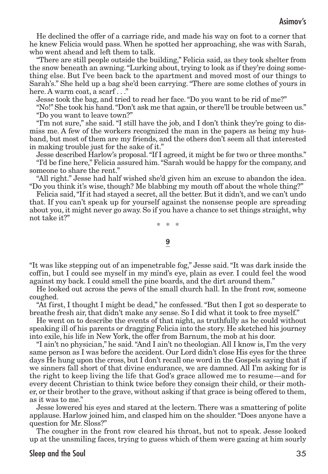He declined the offer of a carriage ride, and made his way on foot to a corner that he knew Felicia would pass. When he spotted her approaching, she was with Sarah, who went ahead and left them to talk.

"There are still people outside the building," Felicia said, as they took shelter from the snow beneath an awning. "Lurking about, trying to look as if they're doing something else. But I've been back to the apartment and moved most of our things to Sarah's." She held up a bag she'd been carrying."There are some clothes of yours in here. A warm coat, a scarf..."

Jesse took the bag, and tried to read her face."Do you want to be rid of me?"

"No!" She took his hand."Don't ask me that again, or there'll be trouble between us." "Do you want to leave town?"

"I'm not sure," she said."I still have the job, and I don't think they're going to dismiss me. A few of the workers recognized the man in the papers as being my husband, but most of them are my friends, and the others don't seem all that interested in making trouble just for the sake of it."

Jesse described Harlow's proposal."If I agreed, it might be for two or three months." "I'd be fine here," Felicia assured him."Sarah would be happy for the company, and someone to share the rent."

"All right." Jesse had half wished she'd given him an excuse to abandon the idea. "Do you think it's wise, though? Me blabbing my mouth off about the whole thing?"

Felicia said,"If it had stayed a secret, all the better. But it didn't, and we can't undo that. If you can't speak up for yourself against the nonsense people are spreading about you, it might never go away. So if you have a chance to set things straight, why not take it?"

\* \* \*

9

"It was like stepping out of an impenetrable fog," Jesse said."It was dark inside the coffin, but I could see myself in my mind's eye, plain as ever. I could feel the wood against my back. I could smell the pine boards, and the dirt around them."

He looked out across the pews of the small church hall. In the front row, someone coughed.

"At first, I thought I might be dead," he confessed."But then I got so desperate to breathe fresh air, that didn't make any sense. So I did what it took to free myself."

He went on to describe the events of that night, as truthfully as he could without speaking ill of his parents or dragging Felicia into the story. He sketched his journey into exile, his life in New York, the offer from Barnum, the mob at his door.

"I ain't no physician," he said."And I ain't no theologian. All I know is, I'm the very same person as I was before the accident. Our Lord didn't close His eyes for the three days He hung upon the cross, but I don't recall one word in the Gospels saying that if we sinners fall short of that divine endurance, we are damned. All I'm asking for is the right to keep living the life that God's grace allowed me to resume—and for every decent Christian to think twice before they consign their child, or their mother, or their brother to the grave, without asking if that grace is being offered to them, as it was to me."

Jesse lowered his eyes and stared at the lectern. There was a smattering of polite applause. Harlow joined him, and clasped him on the shoulder."Does anyone have a question for Mr. Sloss?"

The cougher in the front row cleared his throat, but not to speak. Jesse looked up at the unsmiling faces, trying to guess which of them were gazing at him sourly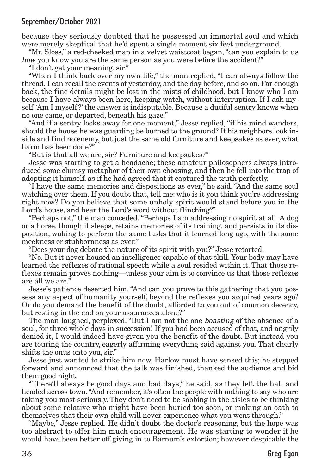because they seriously doubted that he possessed an immortal soul and which were merely skeptical that he'd spent a single moment six feet underground.

"Mr. Sloss," a red-cheeked man in a velvet waistcoat began,"can you explain to us how you know you are the same person as you were before the accident?"

"I don't get your meaning, sir."

"When I think back over my own life," the man replied, "I can always follow the thread. I can recall the events of yesterday, and the day before, and so on. Far enough back, the fine details might be lost in the mists of childhood, but I know who I am because I have always been here, keeping watch, without interruption. If I ask myself, 'Am I myself ?' the answer is indisputable. Because a dutiful sentry knows when no one came, or departed, beneath his gaze."

"And if a sentry looks away for one moment," Jesse replied, "if his mind wanders, should the house he was guarding be burned to the ground? If his neighbors look inside and find no enemy, but just the same old furniture and keepsakes as ever, what harm has been done?"

"But is that all we are, sir? Furniture and keepsakes?"

Jesse was starting to get a headache; these amateur philosophers always introduced some clumsy metaphor of their own choosing, and then he fell into the trap of adopting it himself, as if he had agreed that it captured the truth perfectly.

"I have the same memories and dispositions as ever," he said. "And the same soul watching over them. If you doubt that, tell me: who is it you think you're addressing right now? Do you believe that some unholy spirit would stand before you in the Lord's house, and hear the Lord's word without flinching?"

"Perhaps not," the man conceded."Perhaps I am addressing no spirit at all. A dog or a horse, though it sleeps, retains memories of its training, and persists in its disposition, waking to perform the same tasks that it learned long ago, with the same meekness or stubbornness as ever."

"Does your dog debate the nature of its spirit with you?" Jesse retorted.

"No. But it never housed an intelligence capable of that skill. Your body may have learned the reflexes of rational speech while a soul resided within it. That those reflexes remain proves nothing—unless your aim is to convince us that those reflexes are all we are."

Jesse's patience deserted him. "And can you prove to this gathering that you possess any aspect of humanity yourself, beyond the reflexes you acquired years ago? Or do you demand the benefit of the doubt, afforded to you out of common decency, but resting in the end on your assurances alone?"

The man laughed, perplexed. "But I am not the one boasting of the absence of a soul, for three whole days in succession! If you had been accused of that, and angrily denied it, I would indeed have given you the benefit of the doubt. But instead you are touring the country, eagerly affirming everything said against you. That clearly shifts the onus onto you, sir."

Jesse just wanted to strike him now. Harlow must have sensed this; he stepped forward and announced that the talk was finished, thanked the audience and bid them good night.

"There'll always be good days and bad days," he said, as they left the hall and headed across town."And remember, it's often the people with nothing to say who are taking you most seriously. They don't need to be sobbing in the aisles to be thinking about some relative who might have been buried too soon, or making an oath to themselves that their own child will never experience what you went through."

"Maybe," Jesse replied. He didn't doubt the doctor's reasoning, but the hope was too abstract to offer him much encouragement. He was starting to wonder if he would have been better off giving in to Barnum's extortion; however despicable the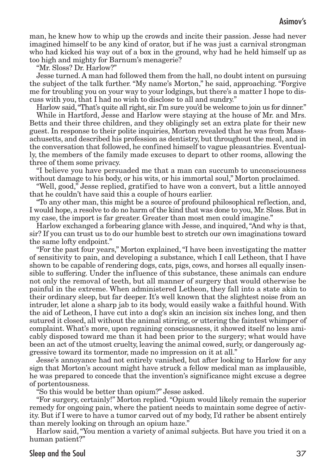man, he knew how to whip up the crowds and incite their passion. Jesse had never imagined himself to be any kind of orator, but if he was just a carnival strongman who had kicked his way out of a box in the ground, why had he held himself up as too high and mighty for Barnum's menagerie?

"Mr. Sloss? Dr. Harlow?"

Jesse turned. A man had followed them from the hall, no doubt intent on pursuing the subject of the talk further. "My name's Morton," he said, approaching. "Forgive me for troubling you on your way to your lodgings, but there's a matter I hope to discuss with you, that I had no wish to disclose to all and sundry."

Harlow said,"That's quite all right, sir. I'm sure you'd be welcome to join us for dinner."

While in Hartford, Jesse and Harlow were staying at the house of Mr. and Mrs. Betts and their three children, and they obligingly set an extra plate for their new guest. In response to their polite inquiries, Morton revealed that he was from Massachusetts, and described his profession as dentistry, but throughout the meal, and in the conversation that followed, he confined himself to vague pleasantries. Eventually, the members of the family made excuses to depart to other rooms, allowing the three of them some privacy.

"I believe you have persuaded me that a man can succumb to unconsciousness without damage to his body, or his wits, or his immortal soul," Morton proclaimed.

"Well, good," Jesse replied, gratified to have won a convert, but a little annoyed that he couldn't have said this a couple of hours earlier.

"To any other man, this might be a source of profound philosophical reflection, and, I would hope, a resolve to do no harm of the kind that was done to you, Mr. Sloss. But in my case, the import is far greater. Greater than most men could imagine."

Harlow exchanged a forbearing glance with Jesse, and inquired,"And why is that, sir? If you can trust us to do our humble best to stretch our own imaginations toward the same lofty endpoint."

"For the past four years," Morton explained,"I have been investigating the matter of sensitivity to pain, and developing a substance, which I call Letheon, that I have shown to be capable of rendering dogs, cats, pigs, cows, and horses all equally insensible to suffering. Under the influence of this substance, these animals can endure not only the removal of teeth, but all manner of surgery that would otherwise be painful in the extreme. When administered Letheon, they fall into a state akin to their ordinary sleep, but far deeper. It's well known that the slightest noise from an intruder, let alone a sharp jab to its body, would easily wake a faithful hound. With the aid of Letheon, I have cut into a dog's skin an incision six inches long, and then sutured it closed, all without the animal stirring, or uttering the faintest whimper of complaint. What's more, upon regaining consciousness, it showed itself no less amicably disposed toward me than it had been prior to the surgery; what would have been an act of the utmost cruelty, leaving the animal cowed, surly, or dangerously aggressive toward its tormentor, made no impression on it at all."

Jesse's annoyance had not entirely vanished, but after looking to Harlow for any sign that Morton's account might have struck a fellow medical man as implausible, he was prepared to concede that the invention's significance might excuse a degree of portentousness.

"So this would be better than opium?" Jesse asked.

"For surgery, certainly!" Morton replied."Opium would likely remain the superior remedy for ongoing pain, where the patient needs to maintain some degree of activity. But if I were to have a tumor carved out of my body, I'd rather be absent entirely than merely looking on through an opium haze."

Harlow said,"You mention a variety of animal subjects. But have you tried it on a human patient?"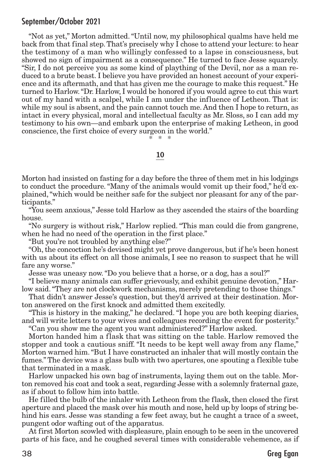"Not as yet," Morton admitted."Until now, my philosophical qualms have held me back from that final step. That's precisely why I chose to attend your lecture: to hear the testimony of a man who willingly confessed to a lapse in consciousness, but showed no sign of impairment as a consequence." He turned to face Jesse squarely. "Sir, I do not perceive you as some kind of plaything of the Devil, nor as a man reduced to a brute beast. I believe you have provided an honest account of your experience and its aftermath, and that has given me the courage to make this request." He turned to Harlow."Dr. Harlow, I would be honored if you would agree to cut this wart out of my hand with a scalpel, while I am under the influence of Letheon. That is: while my soul is absent, and the pain cannot touch me. And then I hope to return, as intact in every physical, moral and intellectual faculty as Mr. Sloss, so I can add my testimony to his own—and embark upon the enterprise of making Letheon, in good conscience, the first choice of every surgeon in the world."

\* \* \*

#### 10

Morton had insisted on fasting for a day before the three of them met in his lodgings to conduct the procedure."Many of the animals would vomit up their food," he'd explained,"which would be neither safe for the subject nor pleasant for any of the participants."

"You seem anxious," Jesse told Harlow as they ascended the stairs of the boarding house.

"No surgery is without risk," Harlow replied. "This man could die from gangrene, when he had no need of the operation in the first place."

"But you're not troubled by anything else?"

"Oh,the concoction he's devised might yet prove dangerous, but if he's been honest with us about its effect on all those animals, I see no reason to suspect that he will fare any worse."

Jesse was uneasy now."Do you believe that a horse, or a dog, has a soul?"

"I believe many animals can suffer grievously, and exhibit genuine devotion," Harlow said."They are not clockwork mechanisms, merely pretending to those things."

That didn't answer Jesse's question, but they'd arrived at their destination. Morton answered on the first knock and admitted them excitedly.

"This is history in the making," he declared."I hope you are both keeping diaries, and will write letters to your wives and colleagues recording the event for posterity."

"Can you show me the agent you want administered?" Harlow asked.

Morton handed him a flask that was sitting on the table. Harlow removed the stopper and took a cautious sniff. "It needs to be kept well away from any flame," Morton warned him."But I have constructed an inhaler that will mostly contain the fumes."The device was a glass bulb with two apertures, one spouting a flexible tube that terminated in a mask.

Harlow unpacked his own bag of instruments, laying them out on the table. Morton removed his coat and took a seat, regarding Jesse with a solemnly fraternal gaze, as if about to follow him into battle.

He filled the bulb of the inhaler with Letheon from the flask, then closed the first aperture and placed the mask over his mouth and nose, held up by loops of string behind his ears. Jesse was standing a few feet away, but he caught a trace of a sweet, pungent odor wafting out of the apparatus.

At first Morton scowled with displeasure, plain enough to be seen in the uncovered parts of his face, and he coughed several times with considerable vehemence, as if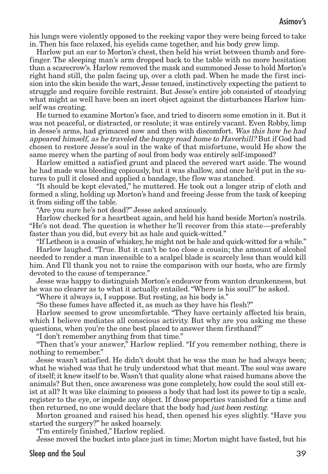his lungs were violently opposed to the reeking vapor they were being forced to take in. Then his face relaxed, his eyelids came together, and his body grew limp.

Harlow put an ear to Morton's chest, then held his wrist between thumb and forefinger. The sleeping man's arm dropped back to the table with no more hesitation than a scarecrow's. Harlow removed the mask and summoned Jesse to hold Morton's right hand still, the palm facing up, over a cloth pad. When he made the first incision into the skin beside the wart, Jesse tensed, instinctively expecting the patient to struggle and require forcible restraint. But Jesse's entire job consisted of steadying what might as well have been an inert object against the disturbances Harlow himself was creating.

He turned to examine Morton's face, and tried to discern some emotion in it. But it was not peaceful, or distracted, or resolute; it was entirely vacant. Even Robby, limp in Jesse's arms, had grimaced now and then with discomfort. Was this how he had appeared himself, as he traveled the bumpy road home to Haverhill? But if God had chosen to restore Jesse's soul in the wake of that misfortune, would He show the same mercy when the parting of soul from body was entirely self-imposed?

Harlow emitted a satisfied grunt and placed the severed wart aside. The wound he had made was bleeding copiously, but it was shallow, and once he'd put in the sutures to pull it closed and applied a bandage, the flow was stanched.

"It should be kept elevated," he muttered. He took out a longer strip of cloth and formed a sling, holding up Morton's hand and freeing Jesse from the task of keeping it from siding off the table.

"Are you sure he's not dead?" Jesse asked anxiously.

Harlow checked for a heartbeat again, and held his hand beside Morton's nostrils. "He's not dead. The question is whether he'll recover from this state—preferably faster than you did, but every bit as hale and quick-witted."

"If Letheon is a cousin of whiskey, he might not be hale and quick-witted for a while." Harlow laughed. "True. But it can't be too close a cousin; the amount of alcohol needed to render a man insensible to a scalpel blade is scarcely less than would kill him. And I'll thank you not to raise the comparison with our hosts, who are firmly devoted to the cause of temperance."

Jesse was happy to distinguish Morton's endeavor from wanton drunkenness, but he was no clearer as to what it actually entailed."Where is his soul?" he asked.

"Where it always is, I suppose. But resting, as his body is."

"So these fumes have affected it, as much as they have his flesh?"

Harlow seemed to grow uncomfortable. "They have certainly affected his brain, which I believe mediates all conscious activity. But why are you asking me these questions, when you're the one best placed to answer them firsthand?"

"I don't remember anything from that time."

"Then that's your answer," Harlow replied. "If you remember nothing, there is nothing to remember."

Jesse wasn't satisfied. He didn't doubt that he was the man he had always been; what he wished was that he truly understood what that meant. The soul was aware of itself; it knew itself to be.Wasn't that quality alone what raised humans above the animals? But then, once awareness was gone completely, how could the soul still exist at all? It was like claiming to possess a body that had lost its power to tip a scale, register to the eye, or impede any object. If those properties vanished for a time and then returned, no one would declare that the body had just been resting.

Morton groaned and raised his head, then opened his eyes slightly. "Have you started the surgery?" he asked hoarsely.

"I'm entirely finished," Harlow replied.

Jesse moved the bucket into place just in time; Morton might have fasted, but his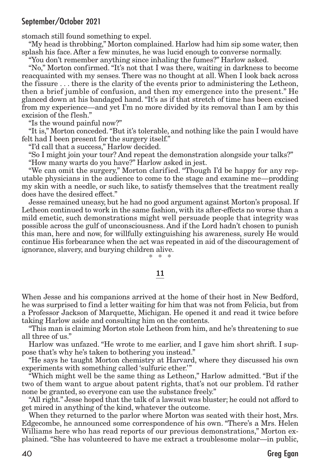stomach still found something to expel.

"My head is throbbing," Morton complained. Harlow had him sip some water, then splash his face. After a few minutes, he was lucid enough to converse normally.

"You don't remember anything since inhaling the fumes?" Harlow asked.

"No," Morton confirmed. "It's not that I was there, waiting in darkness to become reacquainted with my senses. There was no thought at all. When I look back across the fissure . . . there is the clarity of the events prior to administering the Letheon, then a brief jumble of confusion, and then my emergence into the present." He glanced down at his bandaged hand. "It's as if that stretch of time has been excised from my experience—and yet I'm no more divided by its removal than I am by this excision of the flesh."

"Is the wound painful now?"

"It is," Morton conceded."But it's tolerable, and nothing like the pain I would have felt had I been present for the surgery itself."

"I'd call that a success," Harlow decided.

"So I might join your tour? And repeat the demonstration alongside your talks?" "How many warts do you have?" Harlow asked in jest.

"We can omit the surgery," Morton clarified. "Though I'd be happy for any reputable physicians in the audience to come to the stage and examine me—prodding my skin with a needle, or such like, to satisfy themselves that the treatment really does have the desired effect."

Jesse remained uneasy, but he had no good argument against Morton's proposal. If Letheon continued to work in the same fashion, with its after-effects no worse than a mild emetic, such demonstrations might well persuade people that integrity was possible across the gulf of unconsciousness. And if the Lord hadn't chosen to punish this man, here and now, for willfully extinguishing his awareness, surely He would continue His forbearance when the act was repeated in aid of the discouragement of ignorance, slavery, and burying children alive. \* \* \*

#### 11

When Jesse and his companions arrived at the home of their host in New Bedford, he was surprised to find a letter waiting for him that was not from Felicia, but from a Professor Jackson of Marquette, Michigan. He opened it and read it twice before taking Harlow aside and consulting him on the contents.

"This man is claiming Morton stole Letheon from him, and he's threatening to sue all three of us."

Harlow was unfazed. "He wrote to me earlier, and I gave him short shrift. I suppose that's why he's taken to bothering you instead."

"He says he taught Morton chemistry at Harvard, where they discussed his own experiments with something called 'sulfuric ether.'"

"Which might well be the same thing as Letheon," Harlow admitted. "But if the two of them want to argue about patent rights, that's not our problem. I'd rather none be granted, so everyone can use the substance freely."

"All right." Jesse hoped that the talk of a lawsuit was bluster; he could not afford to get mired in anything of the kind, whatever the outcome.

When they returned to the parlor where Morton was seated with their host, Mrs. Edgecombe, he announced some correspondence of his own. "There's a Mrs. Helen Williams here who has read reports of our previous demonstrations," Morton explained. "She has volunteered to have me extract a troublesome molar—in public,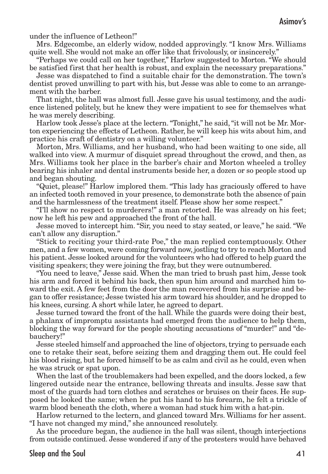under the influence of Letheon!"

Mrs. Edgecombe, an elderly widow, nodded approvingly. "I know Mrs. Williams quite well. She would not make an offer like that frivolously, or insincerely."

"Perhaps we could call on her together," Harlow suggested to Morton. "We should be satisfied first that her health is robust, and explain the necessary preparations."

Jesse was dispatched to find a suitable chair for the demonstration. The town's dentist proved unwilling to part with his, but Jesse was able to come to an arrangement with the barber.

That night, the hall was almost full. Jesse gave his usual testimony, and the audience listened politely, but he knew they were impatient to see for themselves what he was merely describing.

Harlow took Jesse's place at the lectern."Tonight," he said,"it will not be Mr. Morton experiencing the effects of Letheon. Rather, he will keep his wits about him, and practice his craft of dentistry on a willing volunteer."

Morton, Mrs. Williams, and her husband, who had been waiting to one side, all walked into view. A murmur of disquiet spread throughout the crowd, and then, as Mrs. Williams took her place in the barber's chair and Morton wheeled a trolley bearing his inhaler and dental instruments beside her, a dozen or so people stood up and began shouting.

"Quiet, please!" Harlow implored them. "This lady has graciously offered to have an infected tooth removed in your presence, to demonstrate both the absence of pain and the harmlessness of the treatment itself. Please show her some respect."

"I'll show no respect to murderers!" a man retorted. He was already on his feet; now he left his pew and approached the front of the hall.

Jesse moved to intercept him."Sir, you need to stay seated, or leave," he said."We can't allow any disruption."

"Stick to reciting your third-rate Poe," the man replied contemptuously. Other men, and a few women, were coming forward now, jostling to try to reach Morton and his patient. Jesse looked around for the volunteers who had offered to help guard the visiting speakers; they were joining the fray, but they were outnumbered.

"You need to leave," Jesse said. When the man tried to brush past him, Jesse took his arm and forced it behind his back, then spun him around and marched him toward the exit. A few feet from the door the man recovered from his surprise and began to offer resistance; Jesse twisted his arm toward his shoulder, and he dropped to his knees, cursing. A short while later, he agreed to depart.

Jesse turned toward the front of the hall. While the guards were doing their best, a phalanx of impromptu assistants had emerged from the audience to help them, blocking the way forward for the people shouting accusations of "murder!" and "debauchery!"

Jesse steeled himself and approached the line of objectors, trying to persuade each one to retake their seat, before seizing them and dragging them out. He could feel his blood rising, but he forced himself to be as calm and civil as he could, even when he was struck or spat upon.

When the last of the troublemakers had been expelled, and the doors locked, a few lingered outside near the entrance, bellowing threats and insults. Jesse saw that most of the guards had torn clothes and scratches or bruises on their faces. He supposed he looked the same; when he put his hand to his forearm, he felt a trickle of warm blood beneath the cloth, where a woman had stuck him with a hat-pin.

Harlow returned to the lectern, and glanced toward Mrs. Williams for her assent. "I have not changed my mind," she announced resolutely.

As the procedure began, the audience in the hall was silent, though interjections from outside continued. Jesse wondered if any of the protesters would have behaved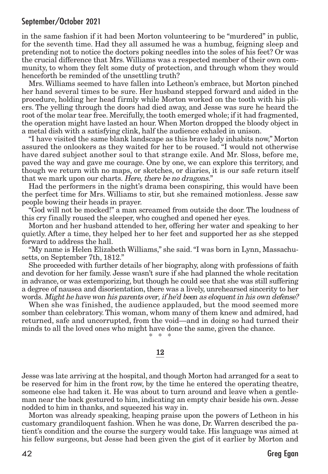in the same fashion if it had been Morton volunteering to be "murdered" in public, for the seventh time. Had they all assumed he was a humbug, feigning sleep and pretending not to notice the doctors poking needles into the soles of his feet? Or was the crucial difference that Mrs. Williams was a respected member of their own community, to whom they felt some duty of protection, and through whom they would henceforth be reminded of the unsettling truth?

Mrs. Williams seemed to have fallen into Letheon's embrace, but Morton pinched her hand several times to be sure. Her husband stepped forward and aided in the procedure, holding her head firmly while Morton worked on the tooth with his pliers. The yelling through the doors had died away, and Jesse was sure he heard the root of the molar tear free. Mercifully, the tooth emerged whole; if it had fragmented, the operation might have lasted an hour. When Morton dropped the bloody object in a metal dish with a satisfying clink, half the audience exhaled in unison.

"I have visited the same blank landscape as this brave lady inhabits now," Morton assured the onlookers as they waited for her to be roused. "I would not otherwise have dared subject another soul to that strange exile. And Mr. Sloss, before me, paved the way and gave me courage. One by one, we can explore this territory, and though we return with no maps, or sketches, or diaries, it is our safe return itself that we mark upon our charts. Here, there be no dragons."

Had the performers in the night's drama been conspiring, this would have been the perfect time for Mrs. Williams to stir, but she remained motionless. Jesse saw people bowing their heads in prayer.

"God will not be mocked!" a man screamed from outside the door. The loudness of this cry finally roused the sleeper, who coughed and opened her eyes.

Morton and her husband attended to her, offering her water and speaking to her quietly. After a time, they helped her to her feet and supported her as she stepped forward to address the hall.

"My name is Helen Elizabeth Williams," she said."I was born in Lynn, Massachusetts, on September 7th, 1812."

She proceeded with further details of her biography, along with professions of faith and devotion for her family. Jesse wasn't sure if she had planned the whole recitation in advance, or was extemporizing, but though he could see that she was still suffering a degree of nausea and disorientation, there was a lively, unrehearsed sincerity to her words. Might he have won his parents over, if he'd been as eloquent in his own defense?

When she was finished, the audience applauded, but the mood seemed more somber than celebratory. This woman, whom many of them knew and admired, had returned, safe and uncorrupted, from the void—and in doing so had turned their minds to all the loved ones who might have done the same, given the chance. \* \* \*

12

Jesse was late arriving at the hospital, and though Morton had arranged for a seat to be reserved for him in the front row, by the time he entered the operating theatre, someone else had taken it. He was about to turn around and leave when a gentleman near the back gestured to him, indicating an empty chair beside his own. Jesse nodded to him in thanks, and squeezed his way in.

Morton was already speaking, heaping praise upon the powers of Letheon in his customary grandiloquent fashion. When he was done, Dr. Warren described the patient's condition and the course the surgery would take. His language was aimed at his fellow surgeons, but Jesse had been given the gist of it earlier by Morton and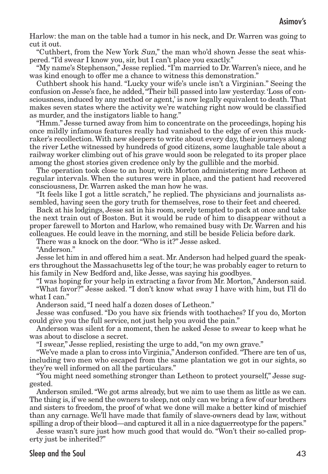Harlow: the man on the table had a tumor in his neck, and Dr. Warren was going to cut it out.

"Cuthbert, from the New York Sun," the man who'd shown Jesse the seat whispered."I'd swear I know you, sir, but I can't place you exactly."

"My name's Stephenson," Jesse replied."I'm married to Dr. Warren's niece, and he was kind enough to offer me a chance to witness this demonstration."

Cuthbert shook his hand. "Lucky your wife's uncle isn't a Virginian." Seeing the confusion on Jesse's face, he added,"Their bill passed into law yesterday. 'Loss of consciousness, induced by any method or agent,' is now legally equivalent to death.That makes seven states where the activity we're watching right now would be classified as murder, and the instigators liable to hang."

"Hmm." Jesse turned away from him to concentrate on the proceedings, hoping his once mildly infamous features really had vanished to the edge of even this muckraker's recollection. With new sleepers to write about every day, their journeys along the river Lethe witnessed by hundreds of good citizens, some laughable tale about a railway worker climbing out of his grave would soon be relegated to its proper place among the ghost stories given credence only by the gullible and the morbid.

The operation took close to an hour, with Morton administering more Letheon at regular intervals. When the sutures were in place, and the patient had recovered consciousness, Dr. Warren asked the man how he was.

"It feels like I got a little scratch," he replied. The physicians and journalists assembled, having seen the gory truth for themselves, rose to their feet and cheered.

Back at his lodgings, Jesse sat in his room, sorely tempted to pack at once and take the next train out of Boston. But it would be rude of him to disappear without a proper farewell to Morton and Harlow, who remained busy with Dr. Warren and his colleagues. He could leave in the morning, and still be beside Felicia before dark.

There was a knock on the door."Who is it?" Jesse asked.

"Anderson."

Jesse let him in and offered him a seat. Mr. Anderson had helped guard the speakers throughout the Massachusetts leg of the tour; he was probably eager to return to his family in New Bedford and, like Jesse, was saying his goodbyes.

"I was hoping for your help in extracting a favor from Mr. Morton," Anderson said. "What favor?" Jesse asked. "I don't know what sway I have with him, but I'll do what I can."

Anderson said,"I need half a dozen doses of Letheon."

Jesse was confused. "Do you have six friends with toothaches? If you do, Morton could give you the full service, not just help you avoid the pain."

Anderson was silent for a moment, then he asked Jesse to swear to keep what he was about to disclose a secret.

"I swear," Jesse replied, resisting the urge to add,"on my own grave."

"We've made a plan to cross into Virginia," Anderson confided."There are ten of us, including two men who escaped from the same plantation we got in our sights, so they're well informed on all the particulars."

"You might need something stronger than Letheon to protect yourself," Jesse suggested.

Anderson smiled."We got arms already, but we aim to use them as little as we can. The thing is, if we send the owners to sleep, not only can we bring a few of our brothers and sisters to freedom, the proof of what we done will make a better kind of mischief than any carnage. We'll have made that family of slave-owners dead by law, without spilling a drop of their blood—and captured it all in a nice daguerreotype for the papers."

Jesse wasn't sure just how much good that would do. "Won't their so-called property just be inherited?"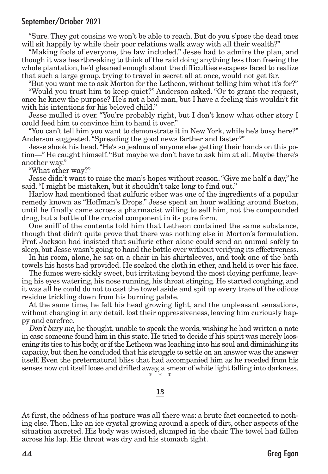"Sure. They got cousins we won't be able to reach. But do you s'pose the dead ones will sit happily by while their poor relations walk away with all their wealth?"

"Making fools of everyone, the law included." Jesse had to admire the plan, and though it was heartbreaking to think of the raid doing anything less than freeing the whole plantation, he'd gleaned enough about the difficulties escapees faced to realize that such a large group, trying to travel in secret all at once, would not get far.

"But you want me to ask Morton for the Letheon, without telling him what it's for?" "Would you trust him to keep quiet?" Anderson asked. "Or to grant the request,

once he knew the purpose? He's not a bad man, but I have a feeling this wouldn't fit with his intentions for his beloved child."

Jesse mulled it over. "You're probably right, but I don't know what other story I could feed him to convince him to hand it over."

"You can't tell him you want to demonstrate it in New York, while he's busy here?" Anderson suggested."Spreading the good news farther and faster?"

Jesse shook his head."He's so jealous of anyone else getting their hands on this potion—" He caught himself."But maybe we don't have to ask him at all. Maybe there's another way."

"What other way?"

Jesse didn't want to raise the man's hopes without reason."Give me half a day," he said."I might be mistaken, but it shouldn't take long to find out."

Harlow had mentioned that sulfuric ether was one of the ingredients of a popular remedy known as "Hoffman's Drops." Jesse spent an hour walking around Boston, until he finally came across a pharmacist willing to sell him, not the compounded drug, but a bottle of the crucial component in its pure form.

One sniff of the contents told him that Letheon contained the same substance, though that didn't quite prove that there was nothing else in Morton's formulation. Prof. Jackson had insisted that sulfuric ether alone could send an animal safely to sleep, but Jesse wasn't going to hand the bottle over without verifying its effectiveness.

In his room, alone, he sat on a chair in his shirtsleeves, and took one of the bath towels his hosts had provided. He soaked the cloth in ether, and held it over his face.

The fumes were sickly sweet, but irritating beyond the most cloying perfume, leaving his eyes watering, his nose running, his throat stinging. He started coughing, and it was all he could do not to cast the towel aside and spit up every trace of the odious residue trickling down from his burning palate.

At the same time, he felt his head growing light, and the unpleasant sensations, without changing in any detail, lost their oppressiveness, leaving him curiously happy and carefree.

Don't bury me, he thought, unable to speak the words, wishing he had written a note in case someone found him in this state. He tried to decide if his spirit was merely loosening its ties to his body, or ifthe Letheon was leaching into his soul and diminishing its capacity, but then he concluded that his struggle to settle on an answer was the answer itself. Even the preternatural bliss that had accompanied him as he receded from his senses now cut itself loose and drifted away, a smear of white light falling into darkness. \* \* \*

#### 13

At first, the oddness of his posture was all there was: a brute fact connected to nothing else.Then, like an ice crystal growing around a speck of dirt, other aspects of the situation accreted. His body was twisted, slumped in the chair. The towel had fallen across his lap. His throat was dry and his stomach tight.